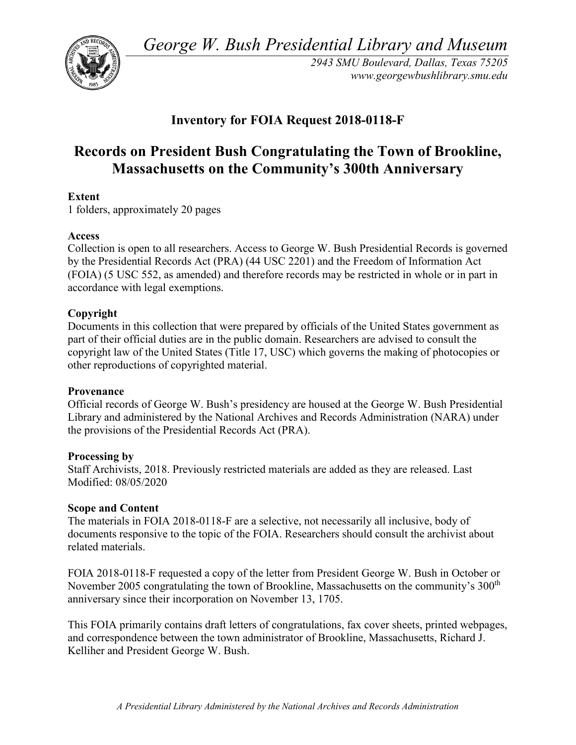*George W. Bush Presidential Library and Museum* 



 *2943 SMU Boulevard, Dallas, Texas 75205 <www.georgewbushlibrary.smu.edu>*

## **Inventory for FOIA Request 2018-0118-F**

# **Massachusetts on the Community's 300th Anniversary Extent Records on President Bush Congratulating the Town of Brookline,**

1 folders, approximately 20 pages

#### **Access**

 by the Presidential Records Act (PRA) (44 USC 2201) and the Freedom of Information Act Collection is open to all researchers. Access to George W. Bush Presidential Records is governed (FOIA) (5 USC 552, as amended) and therefore records may be restricted in whole or in part in accordance with legal exemptions.

### **Copyright**

 Documents in this collection that were prepared by officials of the United States government as part of their official duties are in the public domain. Researchers are advised to consult the copyright law of the United States (Title 17, USC) which governs the making of photocopies or other reproductions of copyrighted material.

#### **Provenance**

 Official records of George W. Bush's presidency are housed at the George W. Bush Presidential Library and administered by the National Archives and Records Administration (NARA) under the provisions of the Presidential Records Act (PRA).

#### **Processing by**

Staff Archivists, 2018. Previously restricted materials are added as they are released. Last Modified: 08/05/2020

#### **Scope and Content**

The materials in FOIA 2018-0118-F are a selective, not necessarily all inclusive, body of documents responsive to the topic of the FOIA. Researchers should consult the archivist about related materials.

November 2005 congratulating the town of Brookline, Massachusetts on the community's  $300<sup>th</sup>$ FOIA 2018-0118-F requested a copy of the letter from President George W. Bush in October or anniversary since their incorporation on November 13, 1705.

This FOIA primarily contains draft letters of congratulations, fax cover sheets, printed webpages, and correspondence between the town administrator of Brookline, Massachusetts, Richard J. Kelliher and President George W. Bush.